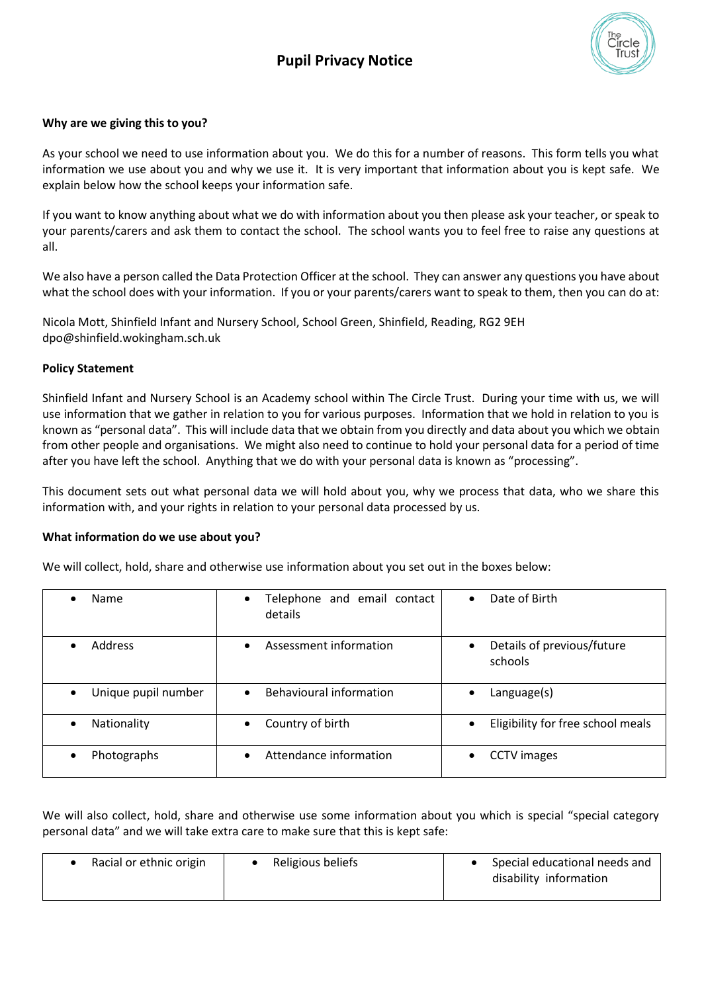

# **Why are we giving this to you?**

As your school we need to use information about you. We do this for a number of reasons. This form tells you what information we use about you and why we use it. It is very important that information about you is kept safe. We explain below how the school keeps your information safe.

If you want to know anything about what we do with information about you then please ask your teacher, or speak to your parents/carers and ask them to contact the school. The school wants you to feel free to raise any questions at all.

We also have a person called the Data Protection Officer at the school. They can answer any questions you have about what the school does with your information. If you or your parents/carers want to speak to them, then you can do at:

Nicola Mott, Shinfield Infant and Nursery School, School Green, Shinfield, Reading, RG2 9EH dpo@shinfield.wokingham.sch.uk

# **Policy Statement**

Shinfield Infant and Nursery School is an Academy school within The Circle Trust. During your time with us, we will use information that we gather in relation to you for various purposes. Information that we hold in relation to you is known as "personal data". This will include data that we obtain from you directly and data about you which we obtain from other people and organisations. We might also need to continue to hold your personal data for a period of time after you have left the school. Anything that we do with your personal data is known as "processing".

This document sets out what personal data we will hold about you, why we process that data, who we share this information with, and your rights in relation to your personal data processed by us.

## **What information do we use about you?**

We will collect, hold, share and otherwise use information about you set out in the boxes below:

| Name                             | Telephone and email contact<br>$\bullet$<br>details | Date of Birth<br>$\bullet$                         |
|----------------------------------|-----------------------------------------------------|----------------------------------------------------|
| <b>Address</b>                   | Assessment information<br>$\bullet$                 | Details of previous/future<br>$\bullet$<br>schools |
| Unique pupil number<br>$\bullet$ | <b>Behavioural information</b><br>$\bullet$         | $L$ anguage $(s)$<br>٠                             |
| Nationality                      | Country of birth                                    | Eligibility for free school meals<br>$\bullet$     |
| Photographs<br>$\bullet$         | Attendance information<br>$\bullet$                 | <b>CCTV</b> images<br>$\bullet$                    |

We will also collect, hold, share and otherwise use some information about you which is special "special category personal data" and we will take extra care to make sure that this is kept safe:

| Racial or ethnic origin | Religious beliefs | Special educational needs and<br>disability information |
|-------------------------|-------------------|---------------------------------------------------------|
|                         |                   |                                                         |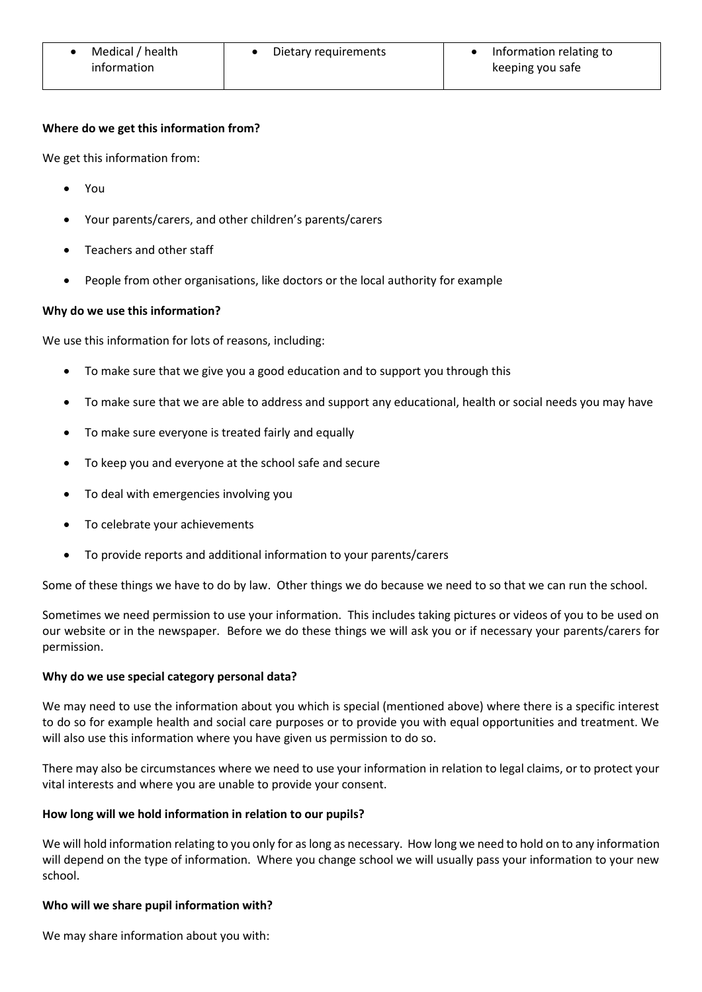| Medical / health | Dietary requirements | Information relating to |
|------------------|----------------------|-------------------------|
| information      |                      | keeping you safe        |

## **Where do we get this information from?**

We get this information from:

- You
- Your parents/carers, and other children's parents/carers
- Teachers and other staff
- People from other organisations, like doctors or the local authority for example

## **Why do we use this information?**

We use this information for lots of reasons, including:

- To make sure that we give you a good education and to support you through this
- To make sure that we are able to address and support any educational, health or social needs you may have
- To make sure everyone is treated fairly and equally
- To keep you and everyone at the school safe and secure
- To deal with emergencies involving you
- To celebrate your achievements
- To provide reports and additional information to your parents/carers

Some of these things we have to do by law. Other things we do because we need to so that we can run the school.

Sometimes we need permission to use your information. This includes taking pictures or videos of you to be used on our website or in the newspaper. Before we do these things we will ask you or if necessary your parents/carers for permission.

## **Why do we use special category personal data?**

We may need to use the information about you which is special (mentioned above) where there is a specific interest to do so for example health and social care purposes or to provide you with equal opportunities and treatment. We will also use this information where you have given us permission to do so.

There may also be circumstances where we need to use your information in relation to legal claims, or to protect your vital interests and where you are unable to provide your consent.

## **How long will we hold information in relation to our pupils?**

We will hold information relating to you only for as long as necessary. How long we need to hold on to any information will depend on the type of information. Where you change school we will usually pass your information to your new school.

## **Who will we share pupil information with?**

We may share information about you with: